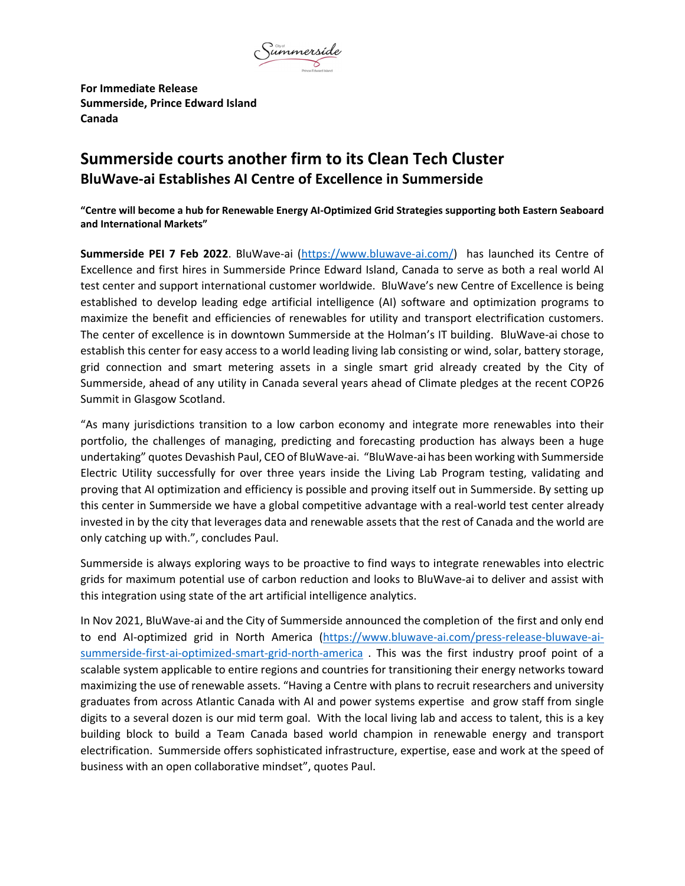

**For Immediate Release Summerside, Prince Edward Island Canada**

## **Summerside courts another firm to its Clean Tech Cluster BluWave‐ai Establishes AI Centre of Excellence in Summerside**

"Centre will become a hub for Renewable Energy Al-Optimized Grid Strategies supporting both Eastern Seaboard **and International Markets"**

**Summerside PEI 7 Feb 2022**. BluWave‐ai (https://www.bluwave‐ai.com/) has launched its Centre of Excellence and first hires in Summerside Prince Edward Island, Canada to serve as both a real world AI test center and support international customer worldwide. BluWave's new Centre of Excellence is being established to develop leading edge artificial intelligence (AI) software and optimization programs to maximize the benefit and efficiencies of renewables for utility and transport electrification customers. The center of excellence is in downtown Summerside at the Holman's IT building. BluWave‐ai chose to establish this center for easy access to a world leading living lab consisting or wind, solar, battery storage, grid connection and smart metering assets in a single smart grid already created by the City of Summerside, ahead of any utility in Canada several years ahead of Climate pledges at the recent COP26 Summit in Glasgow Scotland.

"As many jurisdictions transition to a low carbon economy and integrate more renewables into their portfolio, the challenges of managing, predicting and forecasting production has always been a huge undertaking" quotes Devashish Paul, CEO of BluWave‐ai. "BluWave‐ai has been working with Summerside Electric Utility successfully for over three years inside the Living Lab Program testing, validating and proving that AI optimization and efficiency is possible and proving itself out in Summerside. By setting up this center in Summerside we have a global competitive advantage with a real‐world test center already invested in by the city that leverages data and renewable assets that the rest of Canada and the world are only catching up with.", concludes Paul.

Summerside is always exploring ways to be proactive to find ways to integrate renewables into electric grids for maximum potential use of carbon reduction and looks to BluWave‐ai to deliver and assist with this integration using state of the art artificial intelligence analytics.

In Nov 2021, BluWave‐ai and the City of Summerside announced the completion of the first and only end to end AI-optimized grid in North America (https://www.bluwave-ai.com/press-release-bluwave-aisummerside-first-ai-optimized-smart-grid-north-america. This was the first industry proof point of a scalable system applicable to entire regions and countries for transitioning their energy networks toward maximizing the use of renewable assets. "Having a Centre with plans to recruit researchers and university graduates from across Atlantic Canada with AI and power systems expertise and grow staff from single digits to a several dozen is our mid term goal. With the local living lab and access to talent, this is a key building block to build a Team Canada based world champion in renewable energy and transport electrification. Summerside offers sophisticated infrastructure, expertise, ease and work at the speed of business with an open collaborative mindset", quotes Paul.